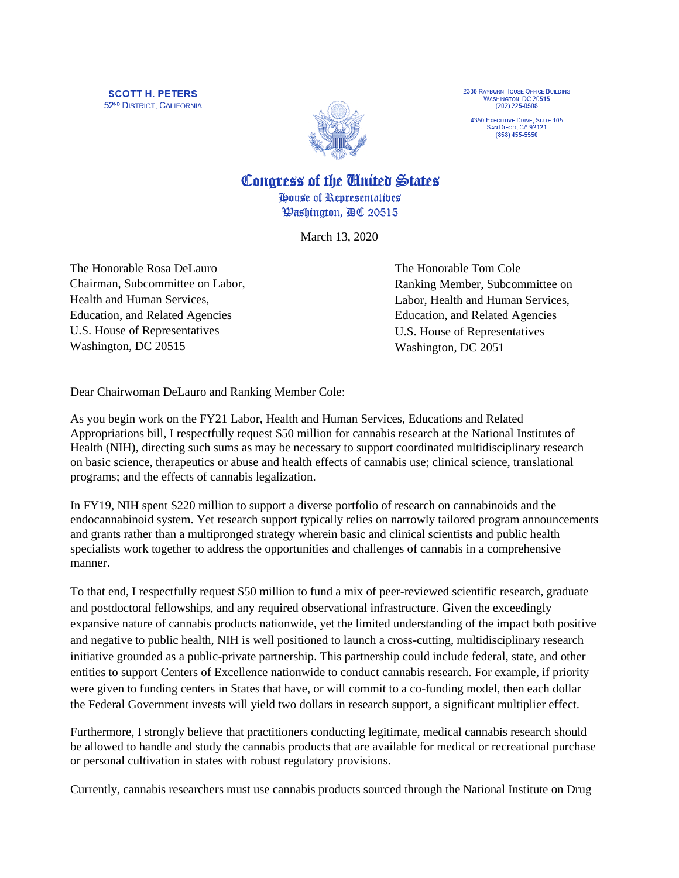**SCOTT H. PETERS** 52<sup>ND</sup> DISTRICT, CALIFORNIA



2338 RAYBURN HOUSE OFFICE BUILDING<br>WASHINGTON, DC 20515  $(202)$  225-0508

4350 EXECUTIVE DRIVE, SUITE 105<br>SAN DIEGO, CA 92121  $(858) 455 - 5550$ 

Congress of the United States

House of Representatives *Washington, AC 20515* 

March 13, 2020

The Honorable Rosa DeLauro Chairman, Subcommittee on Labor, Health and Human Services, Education, and Related Agencies U.S. House of Representatives Washington, DC 20515

The Honorable Tom Cole Ranking Member, Subcommittee on Labor, Health and Human Services, Education, and Related Agencies U.S. House of Representatives Washington, DC 2051

Dear Chairwoman DeLauro and Ranking Member Cole:

As you begin work on the FY21 Labor, Health and Human Services, Educations and Related Appropriations bill, I respectfully request \$50 million for cannabis research at the National Institutes of Health (NIH), directing such sums as may be necessary to support coordinated multidisciplinary research on basic science, therapeutics or abuse and health effects of cannabis use; clinical science, translational programs; and the effects of cannabis legalization.

In FY19, NIH spent \$220 million to support a diverse portfolio of research on cannabinoids and the endocannabinoid system. Yet research support typically relies on narrowly tailored program announcements and grants rather than a multipronged strategy wherein basic and clinical scientists and public health specialists work together to address the opportunities and challenges of cannabis in a comprehensive manner.

To that end, I respectfully request \$50 million to fund a mix of peer-reviewed scientific research, graduate and postdoctoral fellowships, and any required observational infrastructure. Given the exceedingly expansive nature of cannabis products nationwide, yet the limited understanding of the impact both positive and negative to public health, NIH is well positioned to launch a cross-cutting, multidisciplinary research initiative grounded as a public-private partnership. This partnership could include federal, state, and other entities to support Centers of Excellence nationwide to conduct cannabis research. For example, if priority were given to funding centers in States that have, or will commit to a co-funding model, then each dollar the Federal Government invests will yield two dollars in research support, a significant multiplier effect.

Furthermore, I strongly believe that practitioners conducting legitimate, medical cannabis research should be allowed to handle and study the cannabis products that are available for medical or recreational purchase or personal cultivation in states with robust regulatory provisions.

Currently, cannabis researchers must use cannabis products sourced through the National Institute on Drug